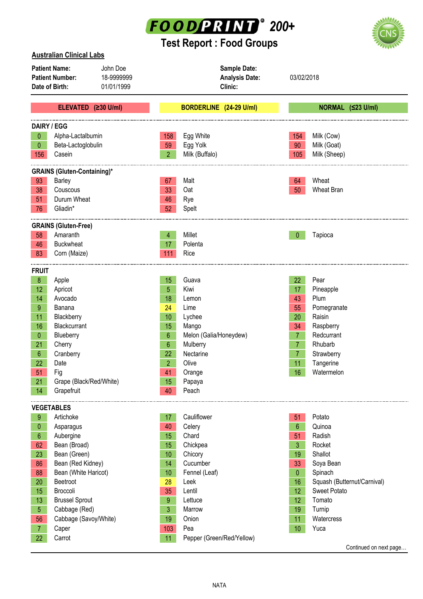

## **Test Report : Food Groups**



| <b>Australian Clinical Labs</b>                                                                          |                                                                                                                                                                                                             |  |                                                                                                                            |                                                                                                                                            |                                                                                                       |                                                                                                                                                                 |  |  |
|----------------------------------------------------------------------------------------------------------|-------------------------------------------------------------------------------------------------------------------------------------------------------------------------------------------------------------|--|----------------------------------------------------------------------------------------------------------------------------|--------------------------------------------------------------------------------------------------------------------------------------------|-------------------------------------------------------------------------------------------------------|-----------------------------------------------------------------------------------------------------------------------------------------------------------------|--|--|
| <b>Patient Name:</b><br>John Doe<br><b>Patient Number:</b><br>18-9999999<br>Date of Birth:<br>01/01/1999 |                                                                                                                                                                                                             |  | Sample Date:<br><b>Analysis Date:</b><br>Clinic:                                                                           |                                                                                                                                            | 03/02/2018                                                                                            |                                                                                                                                                                 |  |  |
|                                                                                                          | ELEVATED (≥30 U/ml)                                                                                                                                                                                         |  |                                                                                                                            | BORDERLINE (24-29 U/ml)                                                                                                                    |                                                                                                       | NORMAL (≤23 U/ml)                                                                                                                                               |  |  |
| <b>DAIRY / EGG</b><br>0<br>$\mathbf 0$<br>156                                                            | Alpha-Lactalbumin<br>Beta-Lactoglobulin<br>Casein                                                                                                                                                           |  | 158<br>59<br>2 <sup>1</sup>                                                                                                | Egg White<br>Egg Yolk<br>Milk (Buffalo)                                                                                                    | 154<br>90<br>105                                                                                      | Milk (Cow)<br>Milk (Goat)<br>Milk (Sheep)                                                                                                                       |  |  |
|                                                                                                          |                                                                                                                                                                                                             |  |                                                                                                                            |                                                                                                                                            |                                                                                                       |                                                                                                                                                                 |  |  |
| 93<br>38<br>51<br>76                                                                                     | <b>GRAINS (Gluten-Containing)*</b><br>Barley<br>Couscous<br>Durum Wheat<br>Gliadin*                                                                                                                         |  | 67<br>33<br>46<br>52                                                                                                       | Malt<br>Oat<br>Rye<br>Spelt                                                                                                                | 64<br>50                                                                                              | Wheat<br><b>Wheat Bran</b>                                                                                                                                      |  |  |
|                                                                                                          | <b>GRAINS (Gluten-Free)</b>                                                                                                                                                                                 |  |                                                                                                                            |                                                                                                                                            |                                                                                                       |                                                                                                                                                                 |  |  |
| 58<br>46<br>83                                                                                           | Amaranth<br><b>Buckwheat</b><br>Corn (Maize)                                                                                                                                                                |  | 4<br>17<br>111                                                                                                             | Millet<br>Polenta<br>Rice                                                                                                                  | $\mathbf{0}$                                                                                          | Tapioca                                                                                                                                                         |  |  |
| <b>FRUIT</b>                                                                                             |                                                                                                                                                                                                             |  |                                                                                                                            |                                                                                                                                            |                                                                                                       |                                                                                                                                                                 |  |  |
| 8<br>12<br>14<br>9<br>11<br>16<br>$\mathbf{0}$<br>21<br>6<br>22<br>51<br>21<br>14                        | Apple<br>Apricot<br>Avocado<br>Banana<br>Blackberry<br>Blackcurrant<br>Blueberry<br>Cherry<br>Cranberry<br>Date<br>Fig<br>Grape (Black/Red/White)<br>Grapefruit                                             |  | 15<br>5<br>18<br>24<br>10 <sup>1</sup><br>15<br>$6\phantom{.}$<br>$6\phantom{.}$<br>22<br>2 <sup>1</sup><br>41<br>15<br>40 | Guava<br>Kiwi<br>Lemon<br>Lime<br>Lychee<br>Mango<br>Melon (Galia/Honeydew)<br>Mulberry<br>Nectarine<br>Olive<br>Orange<br>Papaya<br>Peach | 22<br>17<br>43<br>55<br>20<br>34<br>7 <sup>1</sup><br>$\overline{7}$<br>7<br>11<br>16                 | Pear<br>Pineapple<br>Plum<br>Pomegranate<br>Raisin<br>Raspberry<br>Redcurrant<br>Rhubarb<br>Strawberry<br>Tangerine<br>Watermelon                               |  |  |
|                                                                                                          | <b>VEGETABLES</b>                                                                                                                                                                                           |  |                                                                                                                            |                                                                                                                                            |                                                                                                       |                                                                                                                                                                 |  |  |
| 9<br>$\theta$<br>6<br>62<br>23<br>86<br>88<br>20<br>15<br>13<br>5 <sup>5</sup><br>56                     | Artichoke<br>Asparagus<br>Aubergine<br>Bean (Broad)<br>Bean (Green)<br>Bean (Red Kidney)<br>Bean (White Haricot)<br>Beetroot<br>Broccoli<br><b>Brussel Sprout</b><br>Cabbage (Red)<br>Cabbage (Savoy/White) |  | 17 <sub>2</sub><br>40<br>15<br>15<br>10<br>14<br>10<br>28<br>35<br>9<br>3<br>19                                            | Cauliflower<br>Celery<br>Chard<br>Chickpea<br>Chicory<br>Cucumber<br>Fennel (Leaf)<br>Leek<br>Lentil<br>Lettuce<br>Marrow<br>Onion         | 51<br>6<br>51<br>3<br>19<br>33<br>$\mathbf 0$<br>16<br>12 <sup>°</sup><br>12 <sup>°</sup><br>19<br>11 | Potato<br>Quinoa<br>Radish<br>Rocket<br>Shallot<br>Soya Bean<br>Spinach<br>Squash (Butternut/Carnival)<br><b>Sweet Potato</b><br>Tomato<br>Turnip<br>Watercress |  |  |
| 7 <sup>1</sup><br>22                                                                                     | Caper<br>Carrot                                                                                                                                                                                             |  | 103<br>11                                                                                                                  | Pea<br>Pepper (Green/Red/Yellow)                                                                                                           | 10                                                                                                    | Yuca                                                                                                                                                            |  |  |

Continued on next page…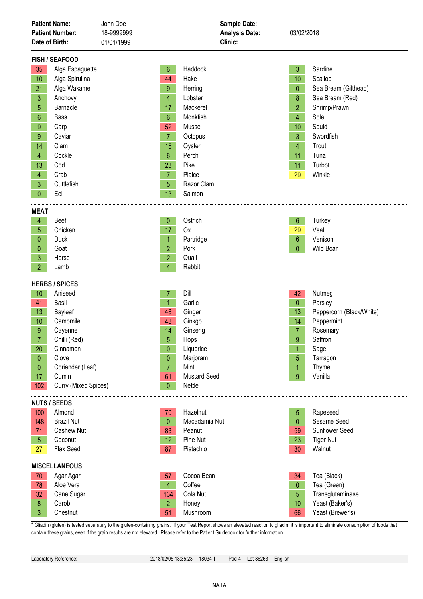| <b>Patient Name:</b><br><b>Patient Number:</b><br>Date of Birth:                                                                                                                                                                                                                                                   | John Doe<br>18-9999999<br>01/01/1999                                                                                                 | Sample Date:<br><b>Analysis Date:</b><br>Clinic:                                                                                      | 03/02/2018                                                                                                                              |                                                                                                                                                                  |
|--------------------------------------------------------------------------------------------------------------------------------------------------------------------------------------------------------------------------------------------------------------------------------------------------------------------|--------------------------------------------------------------------------------------------------------------------------------------|---------------------------------------------------------------------------------------------------------------------------------------|-----------------------------------------------------------------------------------------------------------------------------------------|------------------------------------------------------------------------------------------------------------------------------------------------------------------|
| <b>FISH / SEAFOOD</b><br>Alga Espaguette<br>35<br>10<br>Alga Spirulina<br>21<br>Alga Wakame<br>3<br>Anchovy<br>Barnacle<br>5<br>$6\phantom{.}$<br><b>Bass</b><br>Carp<br>9<br>$9\phantom{.}$<br>Caviar<br>14<br>Clam<br>4<br>Cockle<br>13<br>Cod<br>Crab<br>$\overline{4}$<br>3<br>Cuttlefish                      | $6\phantom{.}$<br>44<br>9<br>$\overline{4}$<br>17<br>$6\phantom{.}6$<br>52<br>$\overline{7}$<br>15<br>6<br>23<br>$\overline{7}$<br>5 | Haddock<br>Hake<br>Herring<br>Lobster<br>Mackerel<br>Monkfish<br>Mussel<br>Octopus<br>Oyster<br>Perch<br>Pike<br>Plaice<br>Razor Clam | $\mathfrak{Z}$<br>10<br>$\mathbf{0}$<br>8<br>$\overline{2}$<br>$\overline{4}$<br>10<br>$\mathbf{3}$<br>$\overline{4}$<br>11<br>11<br>29 | Sardine<br>Scallop<br>Sea Bream (Gilthead)<br>Sea Bream (Red)<br>Shrimp/Prawn<br>Sole<br>Squid<br>Swordfish<br>Trout<br>Tuna<br>Turbot<br>Winkle                 |
| $\overline{0}$<br>Eel<br><b>MEAT</b><br>Beef<br>4<br>Chicken<br>5<br>$\mathbf 0$<br>Duck<br>Goat<br>0<br>3<br>Horse<br>2 <sup>1</sup><br>Lamb                                                                                                                                                                      | 13<br>0<br>17<br>$\mathbf{1}$<br>$\overline{2}$<br>$\overline{2}$<br>4                                                               | Salmon<br>Ostrich<br>Ox<br>Partridge<br>Pork<br>Quail<br>Rabbit                                                                       | 6<br>29<br>$6\phantom{.}6$<br>$\mathbf{0}$                                                                                              | Turkey<br>Veal<br>Venison<br>Wild Boar                                                                                                                           |
| <b>HERBS / SPICES</b><br>Aniseed<br>10<br>41<br>Basil<br>Bayleaf<br>13<br>Camomile<br>10 <sup>1</sup><br>$9\phantom{.}$<br>Cayenne<br>Chilli (Red)<br>$\overline{7}$<br>Cinnamon<br>20<br>Clove<br>$\overline{0}$<br>Coriander (Leaf)<br>$\overline{0}$<br>17 <sub>1</sub><br>Cumin<br>102<br>Curry (Mixed Spices) | 7<br>$\mathbf{1}$<br>48<br>48<br>14<br>5<br>0<br>0<br>$\mathbf{7}$<br>61<br>0                                                        | Dill<br>Garlic<br>Ginger<br>Ginkgo<br>Ginseng<br>Hops<br>Liquorice<br>Marjoram<br>Mint<br><b>Mustard Seed</b><br>Nettle               | 42<br>$\overline{0}$<br>13<br>14<br>7 <sup>1</sup><br>9<br>5<br>1<br>$9^{\circ}$                                                        | Nutmeg<br>Parsley<br>Peppercorn (Black/White)<br>Peppermint<br>Rosemary<br>Saffron<br>Sage<br>Tarragon<br>Thyme<br>Vanilla                                       |
| <b>NUTS / SEEDS</b><br>Almond<br>100<br><b>Brazil Nut</b><br>148<br>71<br>Cashew Nut<br>5 <sub>5</sub><br>Coconut<br>Flax Seed<br>27<br><b>MISCELLANEOUS</b><br>70<br>Agar Agar<br>Aloe Vera<br>78<br>Cane Sugar<br>32<br>Carob<br>8 <sub>1</sub><br>Chestnut<br>3 <sup>1</sup>                                    | 70<br>$\mathbf{0}$<br>83<br>12<br>87<br>57<br>$\overline{4}$<br>134<br>$\overline{2}$<br>51                                          | Hazelnut<br>Macadamia Nut<br>Peanut<br>Pine Nut<br>Pistachio<br>Cocoa Bean<br>Coffee<br>Cola Nut<br>Honey<br>Mushroom                 | 5<br>$\mathbf{0}$<br>59<br>23<br>30<br>34<br>$\pmb{0}$<br>$\overline{5}$<br>10<br>66                                                    | Rapeseed<br>Sesame Seed<br>Sunflower Seed<br><b>Tiger Nut</b><br>Walnut<br>Tea (Black)<br>Tea (Green)<br>Transglutaminase<br>Yeast (Baker's)<br>Yeast (Brewer's) |

\* Gliadin (gluten) is tested separately to the gluten-containing grains. If your Test Report shows an elevated reaction to gliadin, it is important to eliminate consumption of foods that contain these grains, even if the grain results are not elevated. Please refer to the Patient Guidebook for further information.

| Laboratory Reference: | 2018/02/05 13:35:23<br>10.00.ZJ | 18034- | Pad-4 | Lot-86263 | $\cdots$<br>_nalish |
|-----------------------|---------------------------------|--------|-------|-----------|---------------------|
|                       |                                 |        |       |           |                     |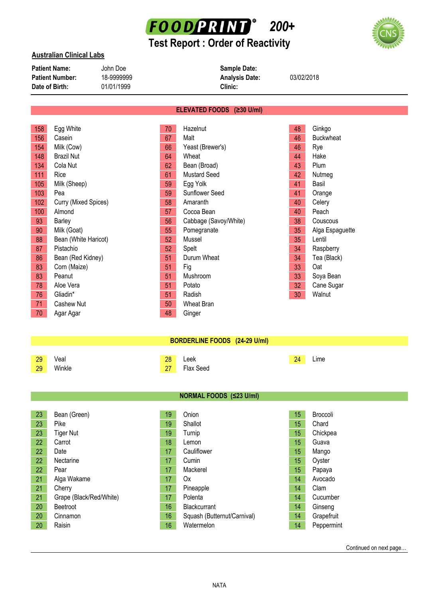

# **Test Report : Order of Reactivity**



| <b>Patient Name:</b>   | John Doe   | <b>Sample Date:</b>   |            |
|------------------------|------------|-----------------------|------------|
| <b>Patient Number:</b> | 18-9999999 | <b>Analysis Date:</b> | 03/02/2018 |
| Date of Birth:         | 01/01/1999 | Clinic:               |            |

#### **ELEVATED FOODS (≥30 U/ml)**

| 158 | Egg White            | 70 | Hazelnut              | 48              | Ginkgo           |
|-----|----------------------|----|-----------------------|-----------------|------------------|
| 156 | Casein               | 67 | Malt                  | 46              | <b>Buckwheat</b> |
| 154 | Milk (Cow)           | 66 | Yeast (Brewer's)      | 46              | Rye              |
| 148 | <b>Brazil Nut</b>    | 64 | Wheat                 | 44              | Hake             |
| 134 | Cola Nut             | 62 | Bean (Broad)          | 43              | Plum             |
| 111 | Rice                 | 61 | <b>Mustard Seed</b>   | 42              | Nutmeg           |
| 105 | Milk (Sheep)         | 59 | Egg Yolk              | 41              | Basil            |
| 103 | Pea                  | 59 | Sunflower Seed        | 41              | Orange           |
| 102 | Curry (Mixed Spices) | 58 | Amaranth              | 40              | Celery           |
| 100 | Almond               | 57 | Cocoa Bean            | 40              | Peach            |
| 93  | Barley               | 56 | Cabbage (Savoy/White) | 38              | Couscous         |
| 90  | Milk (Goat)          | 55 | Pomegranate           | 35              | Alga Espaguette  |
| 88  | Bean (White Haricot) | 52 | Mussel                | 35              | Lentil           |
| 87  | Pistachio            | 52 | Spelt                 | 34              | Raspberry        |
| 86  | Bean (Red Kidney)    | 51 | Durum Wheat           | 34              | Tea (Black)      |
| 83  | Corn (Maize)         | 51 | Fig                   | 33              | Oat              |
| 83  | Peanut               | 51 | Mushroom              | 33              | Soya Bean        |
| 78  | Aloe Vera            | 51 | Potato                | 32 <sub>2</sub> | Cane Sugar       |
| 76  | Gliadin*             | 51 | Radish                | 30              | Walnut           |
| 71  | Cashew Nut           | 50 | Wheat Bran            |                 |                  |
| 70  | Agar Agar            | 48 | Ginger                |                 |                  |

### **BORDERLINE FOODS (24-29 U/ml)**

| 29 | Veal   | 28         | Leek      | 24 | $L$ Ime |
|----|--------|------------|-----------|----|---------|
| 29 | Winkle | 77<br>$-1$ | Flax Seed |    |         |

| NORMAL FOODS (≤23 U/ml) |
|-------------------------|
|-------------------------|

| 23 | Bean (Green)            | 19              | Onion                       | 15 | <b>Broccoli</b> |
|----|-------------------------|-----------------|-----------------------------|----|-----------------|
| 23 | Pike                    | 19              | Shallot                     | 15 | Chard           |
| 23 | <b>Tiger Nut</b>        | 19              | Turnip                      | 15 | Chickpea        |
| 22 | Carrot                  | 18              | Lemon                       | 15 | Guava           |
| 22 | Date                    | 17              | Cauliflower                 | 15 | Mango           |
| 22 | Nectarine               | 17              | Cumin                       | 15 | Oyster          |
| 22 | Pear                    | 17              | Mackerel                    | 15 | Papaya          |
| 21 | Alga Wakame             | 17              | 0x                          | 14 | Avocado         |
| 21 | Cherry                  | 17              | Pineapple                   | 14 | Clam            |
| 21 | Grape (Black/Red/White) | 17 <sup>°</sup> | Polenta                     | 14 | Cucumber        |
| 20 | Beetroot                | 16              | <b>Blackcurrant</b>         | 14 | Ginseng         |
| 20 | Cinnamon                | 16              | Squash (Butternut/Carnival) | 14 | Grapefruit      |
| 20 | Raisin                  | 16              | Watermelon                  | 14 | Peppermint      |